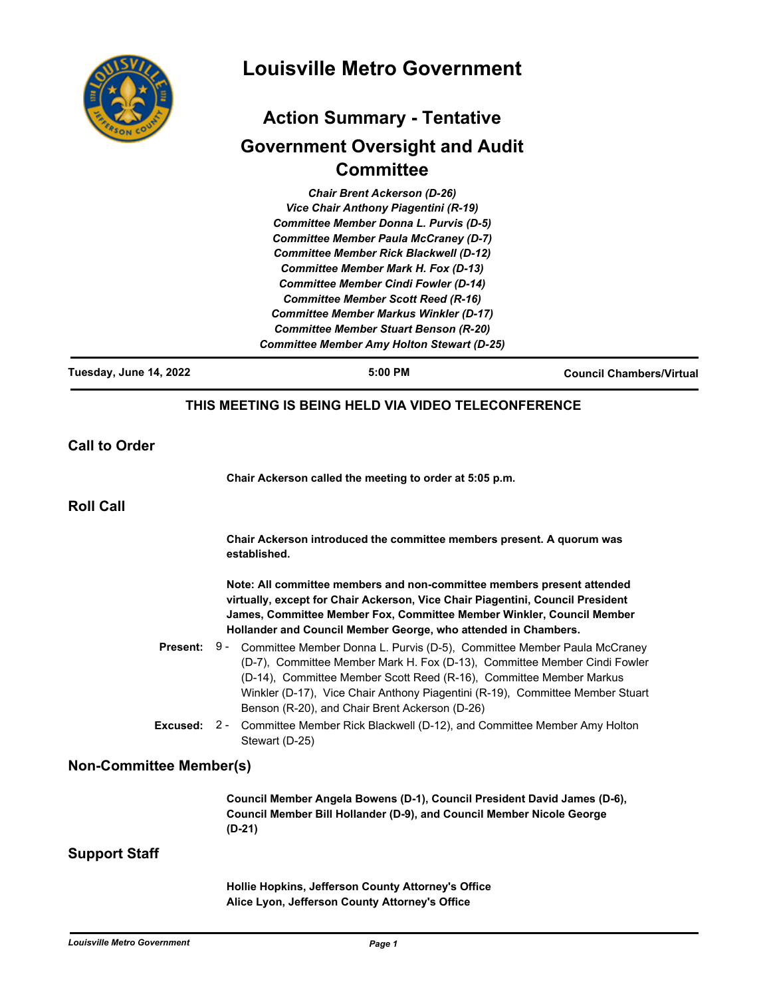

# **Louisville Metro Government**

# **Action Summary - Tentative Government Oversight and Audit Committee**

*Chair Brent Ackerson (D-26) Vice Chair Anthony Piagentini (R-19) Committee Member Donna L. Purvis (D-5) Committee Member Paula McCraney (D-7) Committee Member Rick Blackwell (D-12) Committee Member Mark H. Fox (D-13) Committee Member Cindi Fowler (D-14) Committee Member Scott Reed (R-16) Committee Member Markus Winkler (D-17) Committee Member Stuart Benson (R-20) Committee Member Amy Holton Stewart (D-25)*

**Tuesday, June 14, 2022 5:00 PM Council Chambers/Virtual THIS MEETING IS BEING HELD VIA VIDEO TELECONFERENCE Call to Order Chair Ackerson called the meeting to order at 5:05 p.m. Roll Call Chair Ackerson introduced the committee members present. A quorum was established. Note: All committee members and non-committee members present attended virtually, except for Chair Ackerson, Vice Chair Piagentini, Council President James, Committee Member Fox, Committee Member Winkler, Council Member Hollander and Council Member George, who attended in Chambers.** Present: 9 - Committee Member Donna L. Purvis (D-5), Committee Member Paula McCraney (D-7), Committee Member Mark H. Fox (D-13), Committee Member Cindi Fowler (D-14), Committee Member Scott Reed (R-16), Committee Member Markus Winkler (D-17), Vice Chair Anthony Piagentini (R-19), Committee Member Stuart Benson (R-20), and Chair Brent Ackerson (D-26) **Excused:** 2 - Committee Member Rick Blackwell (D-12), and Committee Member Amy Holton Stewart (D-25) **Non-Committee Member(s) Council Member Angela Bowens (D-1), Council President David James (D-6), Council Member Bill Hollander (D-9), and Council Member Nicole George (D-21) Support Staff Hollie Hopkins, Jefferson County Attorney's Office**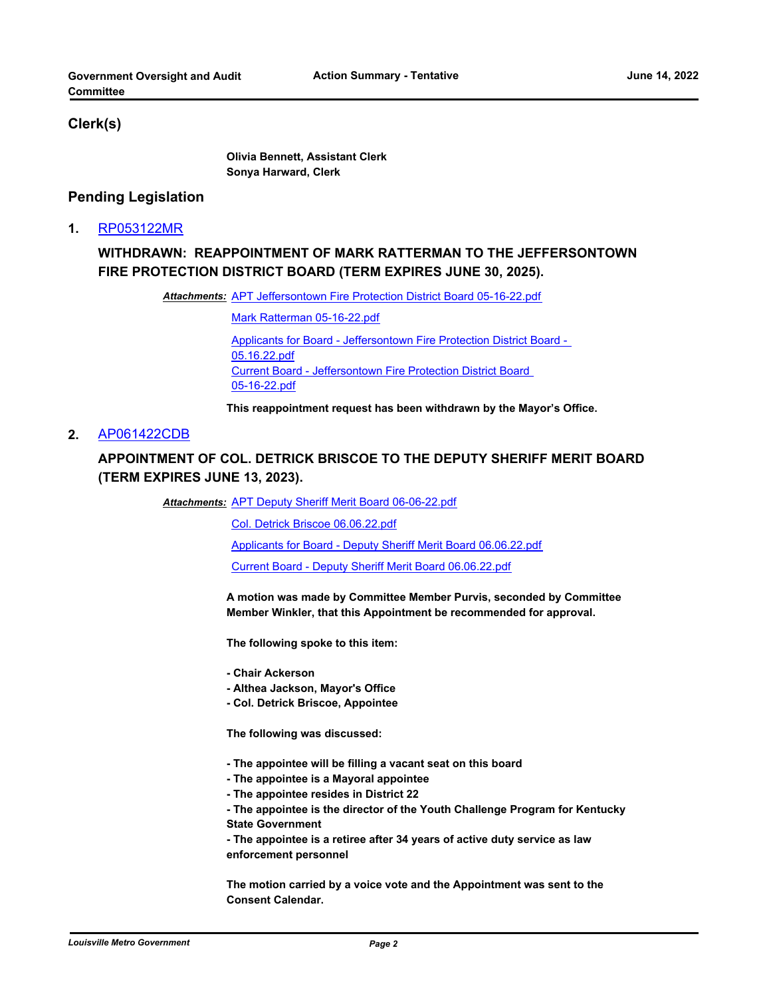#### **Clerk(s)**

**Olivia Bennett, Assistant Clerk Sonya Harward, Clerk**

#### **Pending Legislation**

**1.** [RP053122MR](http://louisville.legistar.com/gateway.aspx?m=l&id=/matter.aspx?key=60366)

# **WITHDRAWN: REAPPOINTMENT OF MARK RATTERMAN TO THE JEFFERSONTOWN FIRE PROTECTION DISTRICT BOARD (TERM EXPIRES JUNE 30, 2025).**

Attachments: [APT Jeffersontown Fire Protection District Board 05-16-22.pdf](http://louisville.legistar.com/gateway.aspx?M=F&ID=b3c0e2a5-56fb-48e1-999b-1c7c89f7f877.pdf)

[Mark Ratterman 05-16-22.pdf](http://louisville.legistar.com/gateway.aspx?M=F&ID=00f3d046-20a6-40dd-a6a3-493f6b121d81.pdf) [Applicants for Board - Jeffersontown Fire Protection District Board -](http://louisville.legistar.com/gateway.aspx?M=F&ID=c78cc307-d640-41ea-a84a-42bb6f7be53c.pdf)  05.16.22.pdf [Current Board - Jeffersontown Fire Protection District Board](http://louisville.legistar.com/gateway.aspx?M=F&ID=a04b8db4-9f2c-4c39-a2aa-b40d387123c4.pdf)  05-16-22.pdf

**This reappointment request has been withdrawn by the Mayor's Office.**

#### **2.** [AP061422CDB](http://louisville.legistar.com/gateway.aspx?m=l&id=/matter.aspx?key=60772)

# **APPOINTMENT OF COL. DETRICK BRISCOE TO THE DEPUTY SHERIFF MERIT BOARD (TERM EXPIRES JUNE 13, 2023).**

Attachments: [APT Deputy Sheriff Merit Board 06-06-22.pdf](http://louisville.legistar.com/gateway.aspx?M=F&ID=77bc6a16-2dc2-4e48-a01d-0727a173a0a4.pdf)

[Col. Detrick Briscoe 06.06.22.pdf](http://louisville.legistar.com/gateway.aspx?M=F&ID=d91c8338-71c3-4363-a937-e47e19f7855c.pdf)

[Applicants for Board - Deputy Sheriff Merit Board 06.06.22.pdf](http://louisville.legistar.com/gateway.aspx?M=F&ID=9bd0e3f3-d0ee-4c42-912f-b9d83f068cc4.pdf)

[Current Board - Deputy Sheriff Merit Board 06.06.22.pdf](http://louisville.legistar.com/gateway.aspx?M=F&ID=68307e4f-9502-4ed8-910b-4f5b7323e584.pdf)

**A motion was made by Committee Member Purvis, seconded by Committee Member Winkler, that this Appointment be recommended for approval.** 

**The following spoke to this item:** 

- **Chair Ackerson**
- **Althea Jackson, Mayor's Office**
- **Col. Detrick Briscoe, Appointee**

**The following was discussed:** 

- **The appointee will be filling a vacant seat on this board**
- **The appointee is a Mayoral appointee**
- **The appointee resides in District 22**

**- The appointee is the director of the Youth Challenge Program for Kentucky State Government**

**- The appointee is a retiree after 34 years of active duty service as law enforcement personnel**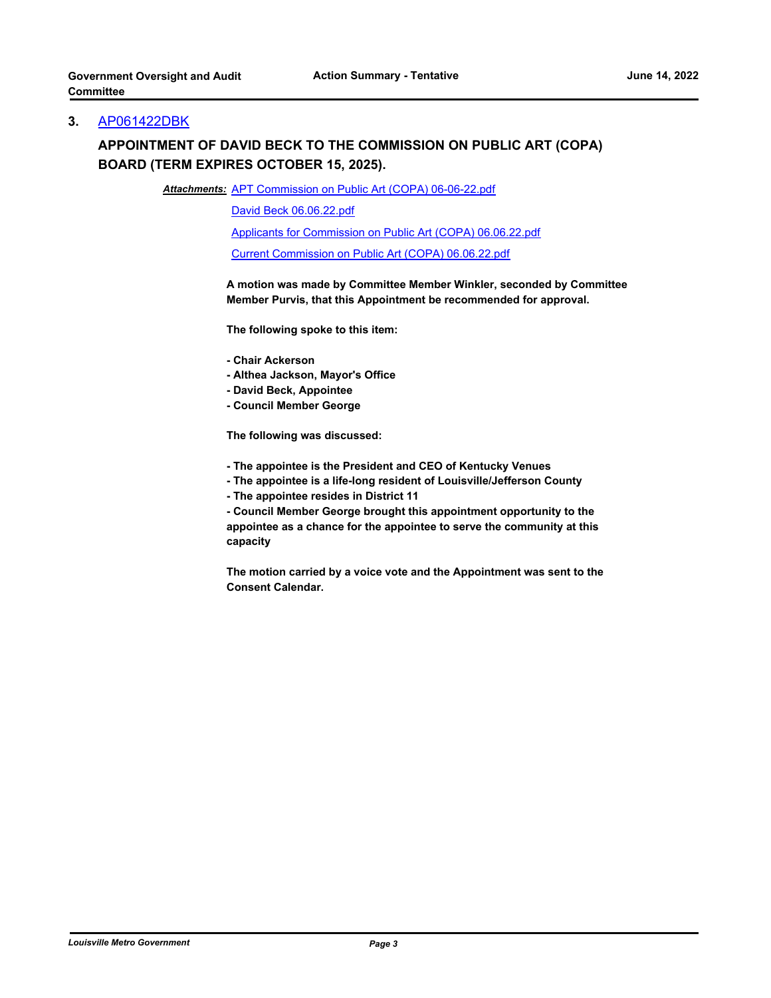#### **3.** [AP061422DBK](http://louisville.legistar.com/gateway.aspx?m=l&id=/matter.aspx?key=60776)

# **APPOINTMENT OF DAVID BECK TO THE COMMISSION ON PUBLIC ART (COPA) BOARD (TERM EXPIRES OCTOBER 15, 2025).**

Attachments: [APT Commission on Public Art \(COPA\) 06-06-22.pdf](http://louisville.legistar.com/gateway.aspx?M=F&ID=5498c50c-2d91-4a64-a39d-0d6f7f01248a.pdf)

[David Beck 06.06.22.pdf](http://louisville.legistar.com/gateway.aspx?M=F&ID=e29767bb-8327-4bb3-878a-e5162a60d0da.pdf)

[Applicants for Commission on Public Art \(COPA\) 06.06.22.pdf](http://louisville.legistar.com/gateway.aspx?M=F&ID=ce845dd9-7bd1-4281-a9f4-1114f85b0623.pdf)

[Current Commission on Public Art \(COPA\) 06.06.22.pdf](http://louisville.legistar.com/gateway.aspx?M=F&ID=37a7fbae-8aab-4820-bc3f-b01697b17e08.pdf)

**A motion was made by Committee Member Winkler, seconded by Committee Member Purvis, that this Appointment be recommended for approval.** 

**The following spoke to this item:** 

- **Chair Ackerson**
- **Althea Jackson, Mayor's Office**
- **David Beck, Appointee**
- **Council Member George**

**The following was discussed:** 

- **The appointee is the President and CEO of Kentucky Venues**
- **The appointee is a life-long resident of Louisville/Jefferson County**
- **The appointee resides in District 11**

**- Council Member George brought this appointment opportunity to the appointee as a chance for the appointee to serve the community at this capacity**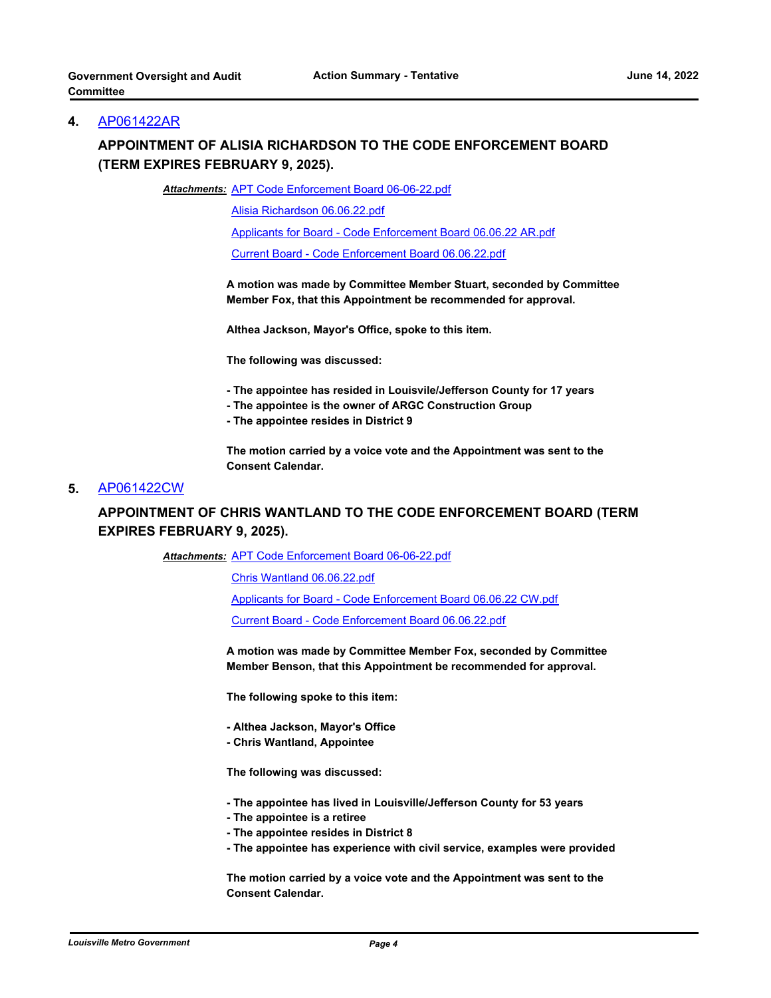#### **4.** [AP061422AR](http://louisville.legistar.com/gateway.aspx?m=l&id=/matter.aspx?key=60777)

# **APPOINTMENT OF ALISIA RICHARDSON TO THE CODE ENFORCEMENT BOARD (TERM EXPIRES FEBRUARY 9, 2025).**

Attachments: [APT Code Enforcement Board 06-06-22.pdf](http://louisville.legistar.com/gateway.aspx?M=F&ID=07bec0f2-2bd2-4ebc-91f8-1fe581e42a2d.pdf)

[Alisia Richardson 06.06.22.pdf](http://louisville.legistar.com/gateway.aspx?M=F&ID=2dd8858c-3fd9-4e61-9d1e-eb9df8d63021.pdf)

[Applicants for Board - Code Enforcement Board 06.06.22 AR.pdf](http://louisville.legistar.com/gateway.aspx?M=F&ID=ae9d1b27-26e5-4e43-9b7b-07489f1f2e89.pdf)

[Current Board - Code Enforcement Board 06.06.22.pdf](http://louisville.legistar.com/gateway.aspx?M=F&ID=11e016ca-8163-4589-9127-bd3e244f003e.pdf)

**A motion was made by Committee Member Stuart, seconded by Committee Member Fox, that this Appointment be recommended for approval.** 

**Althea Jackson, Mayor's Office, spoke to this item.** 

**The following was discussed:** 

- **The appointee has resided in Louisvile/Jefferson County for 17 years**
- **The appointee is the owner of ARGC Construction Group**
- **The appointee resides in District 9**

**The motion carried by a voice vote and the Appointment was sent to the Consent Calendar.**

#### **5.** [AP061422CW](http://louisville.legistar.com/gateway.aspx?m=l&id=/matter.aspx?key=60778)

### **APPOINTMENT OF CHRIS WANTLAND TO THE CODE ENFORCEMENT BOARD (TERM EXPIRES FEBRUARY 9, 2025).**

Attachments: [APT Code Enforcement Board 06-06-22.pdf](http://louisville.legistar.com/gateway.aspx?M=F&ID=5af2dbdc-6260-4ac1-9c71-409aace23be1.pdf)

[Chris Wantland 06.06.22.pdf](http://louisville.legistar.com/gateway.aspx?M=F&ID=0a1f369a-a432-4cae-ae9f-a80be15d645c.pdf)

[Applicants for Board - Code Enforcement Board 06.06.22 CW.pdf](http://louisville.legistar.com/gateway.aspx?M=F&ID=7716a6f8-8c9d-4e98-89b8-a39de2c306d2.pdf)

[Current Board - Code Enforcement Board 06.06.22.pdf](http://louisville.legistar.com/gateway.aspx?M=F&ID=72a9d2ec-4e50-4076-9d06-faeaa59fa527.pdf)

**A motion was made by Committee Member Fox, seconded by Committee Member Benson, that this Appointment be recommended for approval.** 

**The following spoke to this item:** 

- **Althea Jackson, Mayor's Office**
- **Chris Wantland, Appointee**

**The following was discussed:** 

- **The appointee has lived in Louisville/Jefferson County for 53 years**
- **The appointee is a retiree**
- **The appointee resides in District 8**
- **The appointee has experience with civil service, examples were provided**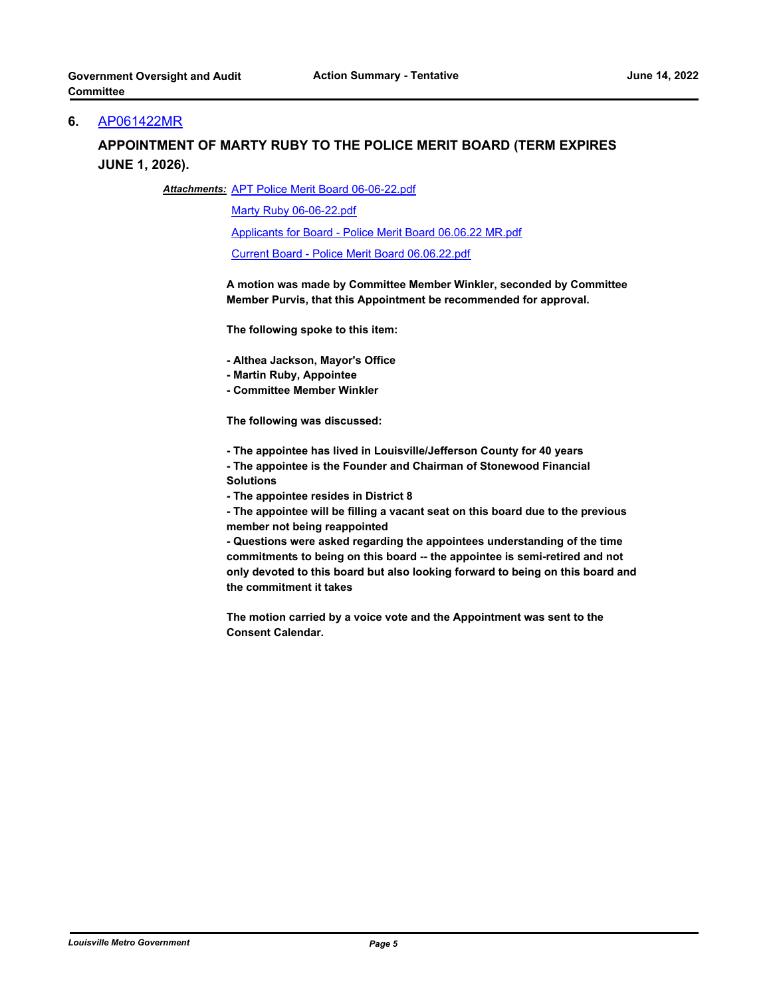#### **6.** [AP061422MR](http://louisville.legistar.com/gateway.aspx?m=l&id=/matter.aspx?key=60779)

### **APPOINTMENT OF MARTY RUBY TO THE POLICE MERIT BOARD (TERM EXPIRES JUNE 1, 2026).**

#### Attachments: [APT Police Merit Board 06-06-22.pdf](http://louisville.legistar.com/gateway.aspx?M=F&ID=3c315c09-de10-4d80-a562-b8dc54cbe032.pdf)

[Marty Ruby 06-06-22.pdf](http://louisville.legistar.com/gateway.aspx?M=F&ID=d11e2405-a59e-4518-8efe-bc8f36312e91.pdf)

[Applicants for Board - Police Merit Board 06.06.22 MR.pdf](http://louisville.legistar.com/gateway.aspx?M=F&ID=7408914b-0f1c-47b5-9f7d-66c54f85a7cd.pdf)

[Current Board - Police Merit Board 06.06.22.pdf](http://louisville.legistar.com/gateway.aspx?M=F&ID=317f62bf-d124-4bab-a466-d8f8a13c38a0.pdf)

**A motion was made by Committee Member Winkler, seconded by Committee Member Purvis, that this Appointment be recommended for approval.**

**The following spoke to this item:**

**- Althea Jackson, Mayor's Office**

**- Martin Ruby, Appointee** 

**- Committee Member Winkler** 

**The following was discussed:** 

**- The appointee has lived in Louisville/Jefferson County for 40 years**

**- The appointee is the Founder and Chairman of Stonewood Financial Solutions**

**- The appointee resides in District 8** 

**- The appointee will be filling a vacant seat on this board due to the previous member not being reappointed** 

**- Questions were asked regarding the appointees understanding of the time commitments to being on this board -- the appointee is semi-retired and not only devoted to this board but also looking forward to being on this board and the commitment it takes**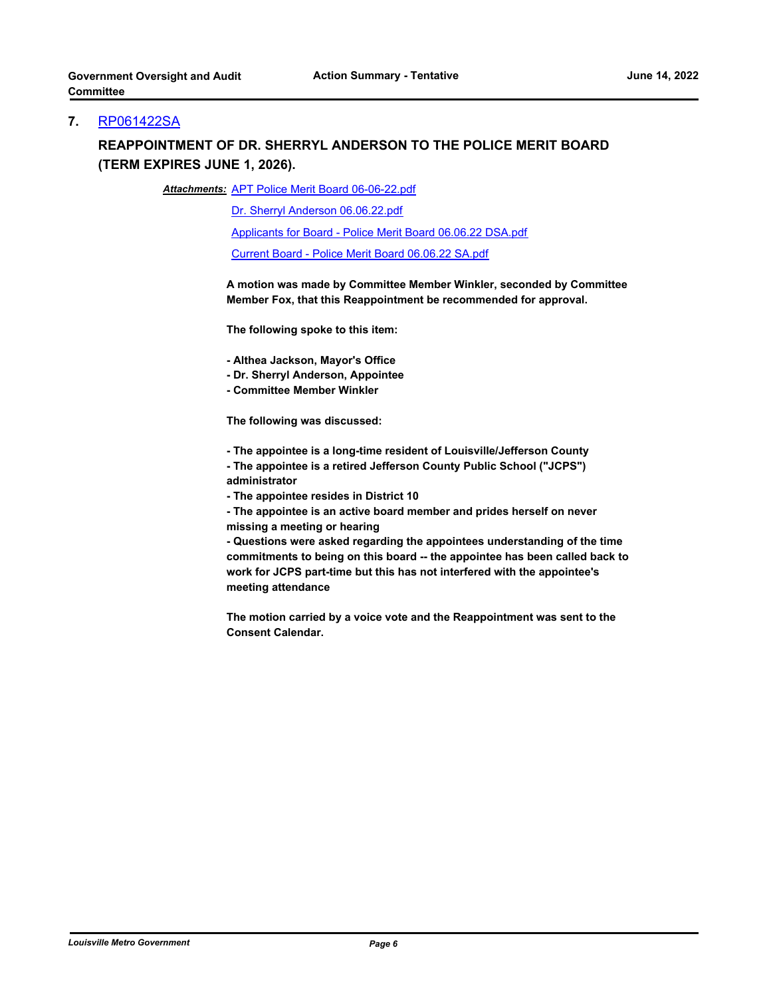#### **7.** [RP061422SA](http://louisville.legistar.com/gateway.aspx?m=l&id=/matter.aspx?key=60780)

# **REAPPOINTMENT OF DR. SHERRYL ANDERSON TO THE POLICE MERIT BOARD (TERM EXPIRES JUNE 1, 2026).**

Attachments: [APT Police Merit Board 06-06-22.pdf](http://louisville.legistar.com/gateway.aspx?M=F&ID=5cf7315a-681c-4844-9571-d7c94ee1e2d1.pdf)

[Dr. Sherryl Anderson 06.06.22.pdf](http://louisville.legistar.com/gateway.aspx?M=F&ID=e101ec68-85b5-45a5-9fd4-b74dfa1f0a8d.pdf)

[Applicants for Board - Police Merit Board 06.06.22 DSA.pdf](http://louisville.legistar.com/gateway.aspx?M=F&ID=66a452f2-f6be-43cd-aa03-284860fe9027.pdf)

[Current Board - Police Merit Board 06.06.22 SA.pdf](http://louisville.legistar.com/gateway.aspx?M=F&ID=7a44901c-0d88-4395-97f0-8a2716499a91.pdf)

**A motion was made by Committee Member Winkler, seconded by Committee Member Fox, that this Reappointment be recommended for approval.**

**The following spoke to this item:**

**- Althea Jackson, Mayor's Office**

**- Dr. Sherryl Anderson, Appointee**

**- Committee Member Winkler** 

**The following was discussed:** 

**- The appointee is a long-time resident of Louisville/Jefferson County** 

**- The appointee is a retired Jefferson County Public School ("JCPS") administrator** 

**- The appointee resides in District 10** 

**- The appointee is an active board member and prides herself on never missing a meeting or hearing** 

**- Questions were asked regarding the appointees understanding of the time commitments to being on this board -- the appointee has been called back to work for JCPS part-time but this has not interfered with the appointee's meeting attendance**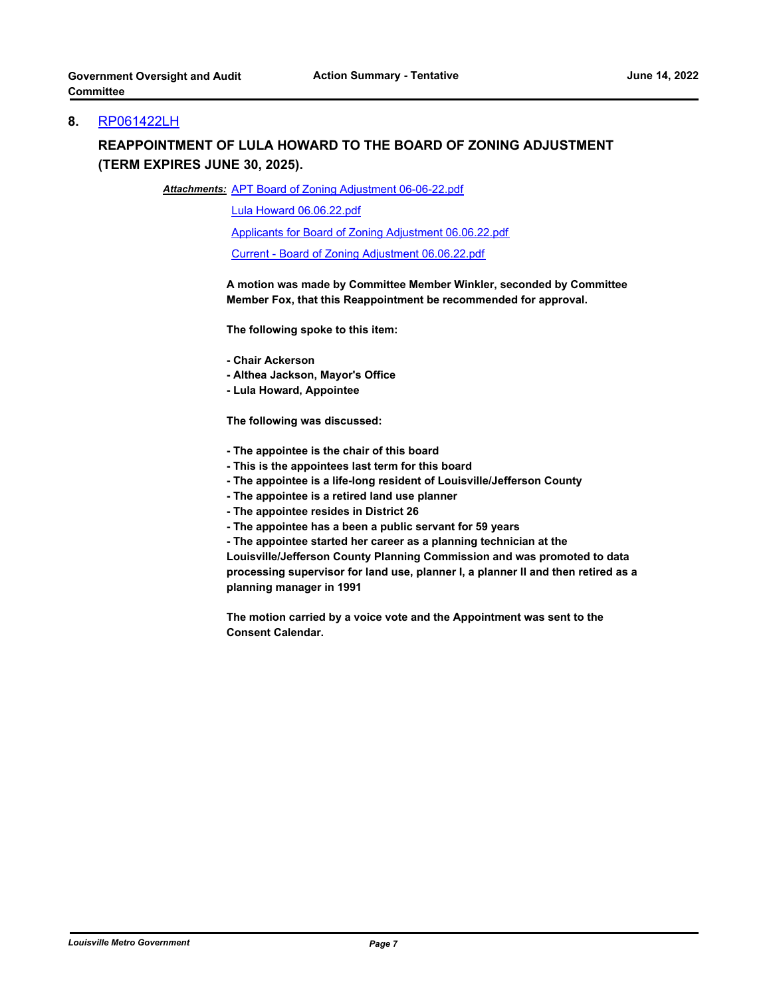#### **8.** [RP061422LH](http://louisville.legistar.com/gateway.aspx?m=l&id=/matter.aspx?key=60781)

# **REAPPOINTMENT OF LULA HOWARD TO THE BOARD OF ZONING ADJUSTMENT (TERM EXPIRES JUNE 30, 2025).**

Attachments: [APT Board of Zoning Adjustment 06-06-22.pdf](http://louisville.legistar.com/gateway.aspx?M=F&ID=d164be27-0f88-4eed-9e7a-badbf70cbab2.pdf)

[Lula Howard 06.06.22.pdf](http://louisville.legistar.com/gateway.aspx?M=F&ID=10843cd2-f68a-4c7a-a0bc-282f74d6c64d.pdf)

[Applicants for Board of Zoning Adjustment 06.06.22.pdf](http://louisville.legistar.com/gateway.aspx?M=F&ID=dce1156e-1726-43d2-b94d-bd410d2669ca.pdf)

[Current - Board of Zoning Adjustment 06.06.22.pdf](http://louisville.legistar.com/gateway.aspx?M=F&ID=bab681cc-8d2d-4bc8-b908-03c4818a6711.pdf)

**A motion was made by Committee Member Winkler, seconded by Committee Member Fox, that this Reappointment be recommended for approval.**

**The following spoke to this item:**

**- Chair Ackerson**

**- Althea Jackson, Mayor's Office**

**- Lula Howard, Appointee** 

**The following was discussed:** 

- **The appointee is the chair of this board**
- **This is the appointees last term for this board**
- **The appointee is a life-long resident of Louisville/Jefferson County**
- **The appointee is a retired land use planner**
- **The appointee resides in District 26**
- **The appointee has a been a public servant for 59 years**

**- The appointee started her career as a planning technician at the** 

**Louisville/Jefferson County Planning Commission and was promoted to data processing supervisor for land use, planner I, a planner II and then retired as a planning manager in 1991**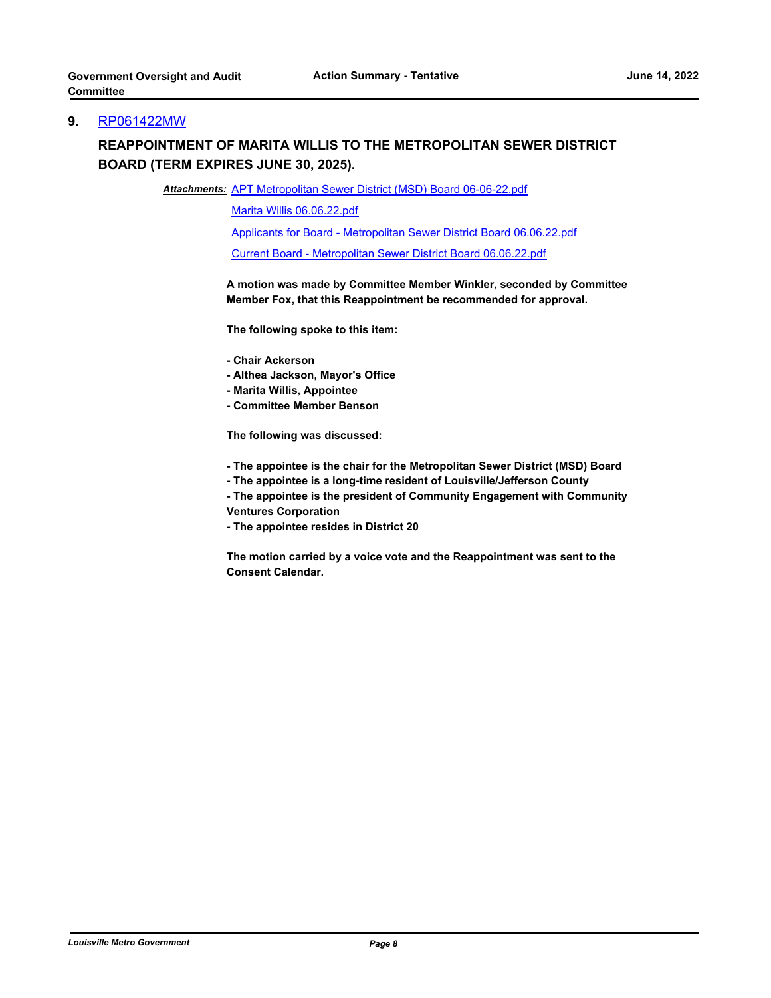#### **9.** [RP061422MW](http://louisville.legistar.com/gateway.aspx?m=l&id=/matter.aspx?key=60782)

# **REAPPOINTMENT OF MARITA WILLIS TO THE METROPOLITAN SEWER DISTRICT BOARD (TERM EXPIRES JUNE 30, 2025).**

Attachments: [APT Metropolitan Sewer District \(MSD\) Board 06-06-22.pdf](http://louisville.legistar.com/gateway.aspx?M=F&ID=47b18ee8-5ea2-4713-9131-0847311a0253.pdf)

[Marita Willis 06.06.22.pdf](http://louisville.legistar.com/gateway.aspx?M=F&ID=81616982-ea72-49ae-965c-3b40694a7230.pdf)

[Applicants for Board - Metropolitan Sewer District Board 06.06.22.pdf](http://louisville.legistar.com/gateway.aspx?M=F&ID=8d9da427-5d16-48b8-bb84-417c7dd94307.pdf)

[Current Board - Metropolitan Sewer District Board 06.06.22.pdf](http://louisville.legistar.com/gateway.aspx?M=F&ID=7ca2b54d-38bb-44e7-99bf-55dd324d1b3e.pdf)

**A motion was made by Committee Member Winkler, seconded by Committee Member Fox, that this Reappointment be recommended for approval.**

**The following spoke to this item:**

- **Chair Ackerson**
- **Althea Jackson, Mayor's Office**
- **Marita Willis, Appointee**
- **Committee Member Benson**

**The following was discussed:** 

- **The appointee is the chair for the Metropolitan Sewer District (MSD) Board**
- **The appointee is a long-time resident of Louisville/Jefferson County**

**- The appointee is the president of Community Engagement with Community Ventures Corporation**

**- The appointee resides in District 20**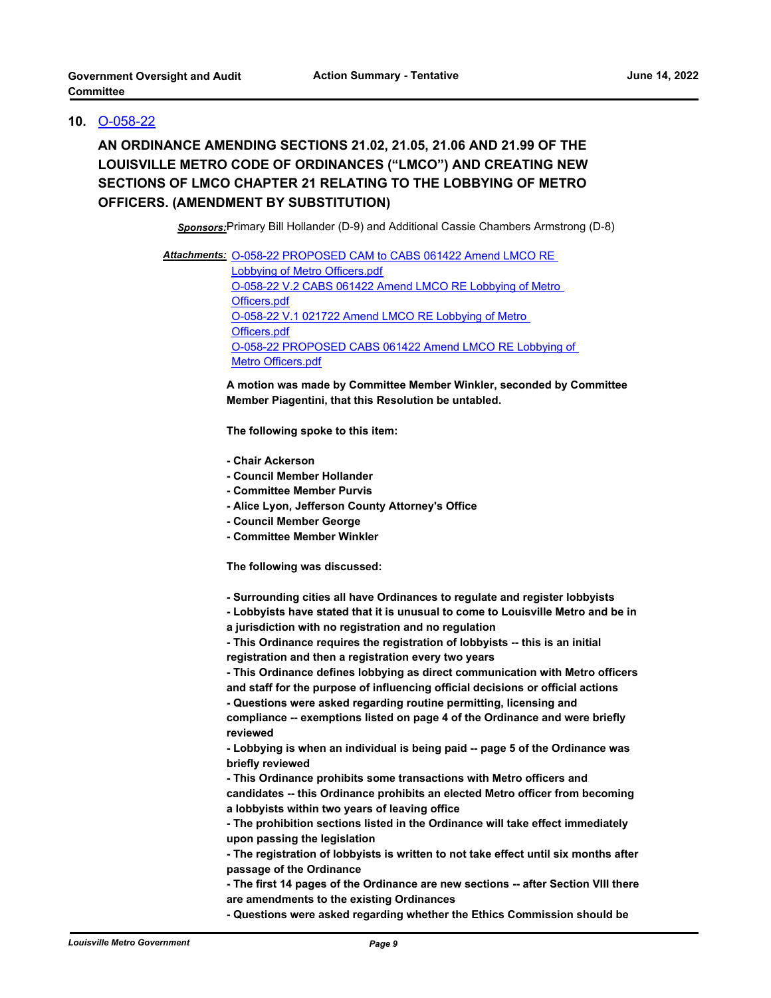### **10.** [O-058-22](http://louisville.legistar.com/gateway.aspx?m=l&id=/matter.aspx?key=59603)

**AN ORDINANCE AMENDING SECTIONS 21.02, 21.05, 21.06 AND 21.99 OF THE LOUISVILLE METRO CODE OF ORDINANCES ("LMCO") AND CREATING NEW SECTIONS OF LMCO CHAPTER 21 RELATING TO THE LOBBYING OF METRO OFFICERS. (AMENDMENT BY SUBSTITUTION)**

*Sponsors:*Primary Bill Hollander (D-9) and Additional Cassie Chambers Armstrong (D-8)

Attachments: O-058-22 PROPOSED CAM to CABS 061422 Amend LMCO RE Lobbying of Metro Officers.pdf [O-058-22 V.2 CABS 061422 Amend LMCO RE Lobbying of Metro](http://louisville.legistar.com/gateway.aspx?M=F&ID=78976f91-bd0f-4505-84f7-15a6618afd71.pdf)  Officers.pdf [O-058-22 V.1 021722 Amend LMCO RE Lobbying of Metro](http://louisville.legistar.com/gateway.aspx?M=F&ID=fbf6eef0-c769-407c-acc4-2bb46ce500f2.pdf)  Officers.pdf [O-058-22 PROPOSED CABS 061422 Amend LMCO RE Lobbying of](http://louisville.legistar.com/gateway.aspx?M=F&ID=7c06db1a-f343-4812-971e-a996a11db0fd.pdf)  Metro Officers.pdf

> **A motion was made by Committee Member Winkler, seconded by Committee Member Piagentini, that this Resolution be untabled.**

**The following spoke to this item:** 

- **Chair Ackerson**
- **Council Member Hollander**
- **Committee Member Purvis**
- **Alice Lyon, Jefferson County Attorney's Office**
- **Council Member George**
- **Committee Member Winkler**

**The following was discussed:** 

**- Surrounding cities all have Ordinances to regulate and register lobbyists** 

**- Lobbyists have stated that it is unusual to come to Louisville Metro and be in** 

- **a jurisdiction with no registration and no regulation**
- **This Ordinance requires the registration of lobbyists -- this is an initial registration and then a registration every two years**
- **This Ordinance defines lobbying as direct communication with Metro officers**

**and staff for the purpose of influencing official decisions or official actions - Questions were asked regarding routine permitting, licensing and** 

**compliance -- exemptions listed on page 4 of the Ordinance and were briefly reviewed** 

**- Lobbying is when an individual is being paid -- page 5 of the Ordinance was briefly reviewed** 

**- This Ordinance prohibits some transactions with Metro officers and candidates -- this Ordinance prohibits an elected Metro officer from becoming a lobbyists within two years of leaving office** 

**- The registration of lobbyists is written to not take effect until six months after passage of the Ordinance** 

**- The first 14 pages of the Ordinance are new sections -- after Section VIII there are amendments to the existing Ordinances** 

**- Questions were asked regarding whether the Ethics Commission should be** 

**<sup>-</sup> The prohibition sections listed in the Ordinance will take effect immediately upon passing the legislation**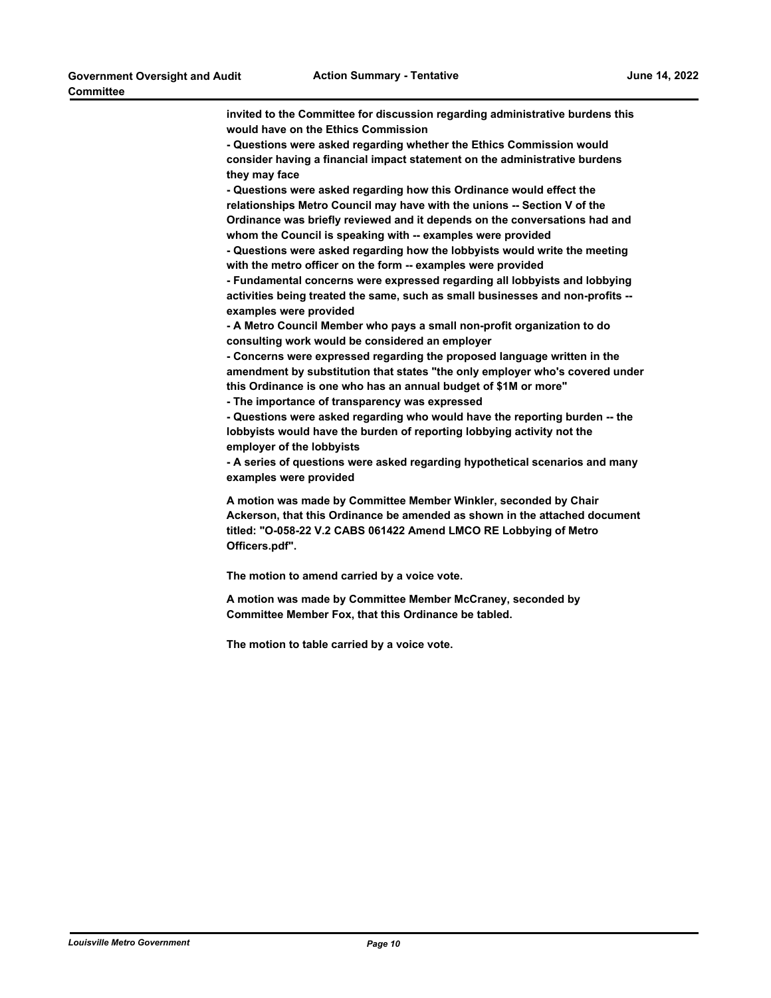**invited to the Committee for discussion regarding administrative burdens this would have on the Ethics Commission** 

**- Questions were asked regarding whether the Ethics Commission would consider having a financial impact statement on the administrative burdens they may face** 

**- Questions were asked regarding how this Ordinance would effect the relationships Metro Council may have with the unions -- Section V of the Ordinance was briefly reviewed and it depends on the conversations had and whom the Council is speaking with -- examples were provided** 

**- Questions were asked regarding how the lobbyists would write the meeting with the metro officer on the form -- examples were provided** 

**- Fundamental concerns were expressed regarding all lobbyists and lobbying activities being treated the same, such as small businesses and non-profits - examples were provided** 

**- A Metro Council Member who pays a small non-profit organization to do consulting work would be considered an employer** 

**- Concerns were expressed regarding the proposed language written in the amendment by substitution that states "the only employer who's covered under this Ordinance is one who has an annual budget of \$1M or more"** 

**- The importance of transparency was expressed** 

**- Questions were asked regarding who would have the reporting burden -- the lobbyists would have the burden of reporting lobbying activity not the employer of the lobbyists** 

**- A series of questions were asked regarding hypothetical scenarios and many examples were provided**

**A motion was made by Committee Member Winkler, seconded by Chair Ackerson, that this Ordinance be amended as shown in the attached document titled: "O-058-22 V.2 CABS 061422 Amend LMCO RE Lobbying of Metro Officers.pdf".**

**The motion to amend carried by a voice vote.**

**A motion was made by Committee Member McCraney, seconded by Committee Member Fox, that this Ordinance be tabled.**

**The motion to table carried by a voice vote.**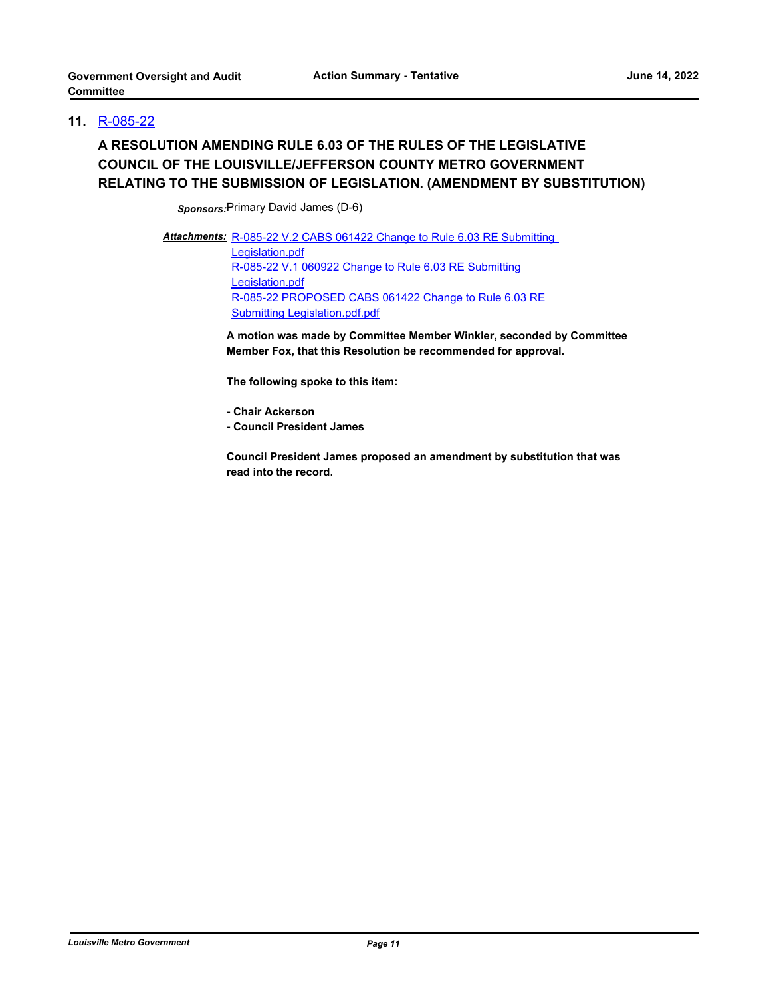### **11.** [R-085-22](http://louisville.legistar.com/gateway.aspx?m=l&id=/matter.aspx?key=60692)

# **A RESOLUTION AMENDING RULE 6.03 OF THE RULES OF THE LEGISLATIVE COUNCIL OF THE LOUISVILLE/JEFFERSON COUNTY METRO GOVERNMENT RELATING TO THE SUBMISSION OF LEGISLATION. (AMENDMENT BY SUBSTITUTION)**

*Sponsors:*Primary David James (D-6)

Attachments: R-085-22 V.2 CABS 061422 Change to Rule 6.03 RE Submitting Legislation.pdf [R-085-22 V.1 060922 Change to Rule 6.03 RE Submitting](http://louisville.legistar.com/gateway.aspx?M=F&ID=8cb66299-1e9a-425d-9e3a-baaad2474ab6.pdf)  Legislation.pdf [R-085-22 PROPOSED CABS 061422 Change to Rule 6.03 RE](http://louisville.legistar.com/gateway.aspx?M=F&ID=dd48d8ac-183b-4aca-a8be-6a2287d2420f.pdf)  Submitting Legislation.pdf.pdf

> **A motion was made by Committee Member Winkler, seconded by Committee Member Fox, that this Resolution be recommended for approval.**

**The following spoke to this item:** 

**- Chair Ackerson**

**- Council President James** 

**Council President James proposed an amendment by substitution that was read into the record.**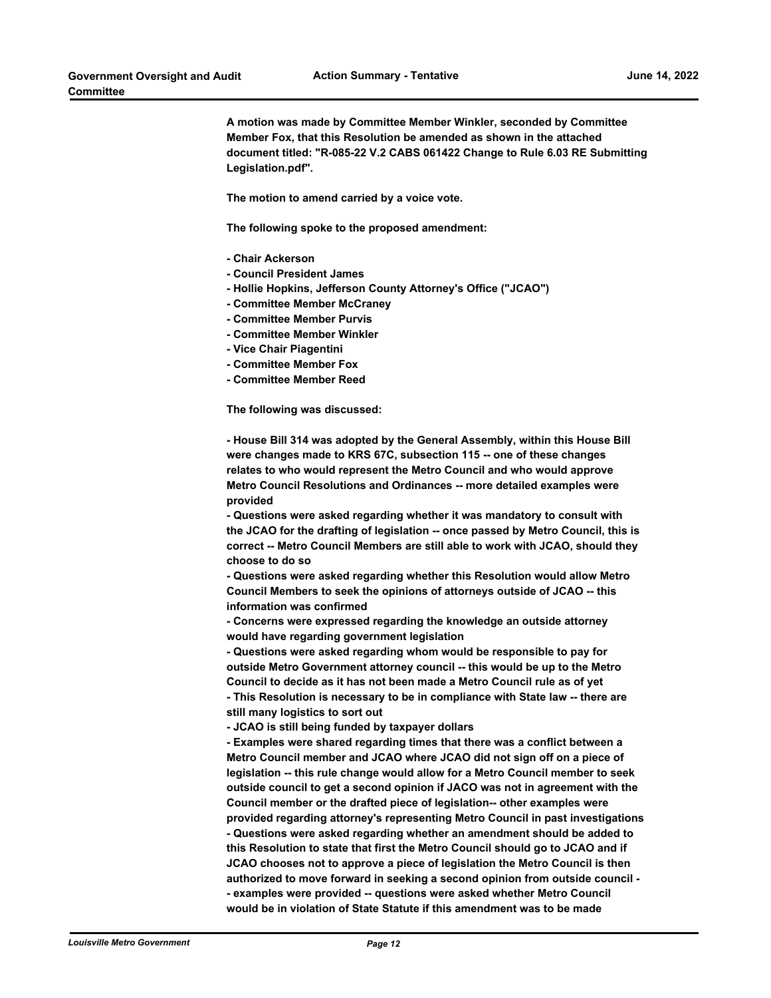**A motion was made by Committee Member Winkler, seconded by Committee Member Fox, that this Resolution be amended as shown in the attached document titled: "R-085-22 V.2 CABS 061422 Change to Rule 6.03 RE Submitting Legislation.pdf".**

**The motion to amend carried by a voice vote.**

**The following spoke to the proposed amendment:** 

- **Chair Ackerson**
- **Council President James**
- **Hollie Hopkins, Jefferson County Attorney's Office ("JCAO")**
- **Committee Member McCraney**
- **Committee Member Purvis**
- **Committee Member Winkler**
- **Vice Chair Piagentini**
- **Committee Member Fox**
- **Committee Member Reed**

**The following was discussed:** 

**- House Bill 314 was adopted by the General Assembly, within this House Bill were changes made to KRS 67C, subsection 115 -- one of these changes relates to who would represent the Metro Council and who would approve Metro Council Resolutions and Ordinances -- more detailed examples were provided** 

**- Questions were asked regarding whether it was mandatory to consult with the JCAO for the drafting of legislation -- once passed by Metro Council, this is correct -- Metro Council Members are still able to work with JCAO, should they choose to do so** 

**- Questions were asked regarding whether this Resolution would allow Metro Council Members to seek the opinions of attorneys outside of JCAO -- this information was confirmed** 

**- Concerns were expressed regarding the knowledge an outside attorney would have regarding government legislation** 

**- Questions were asked regarding whom would be responsible to pay for outside Metro Government attorney council -- this would be up to the Metro Council to decide as it has not been made a Metro Council rule as of yet - This Resolution is necessary to be in compliance with State law -- there are still many logistics to sort out** 

**- JCAO is still being funded by taxpayer dollars** 

**- Examples were shared regarding times that there was a conflict between a Metro Council member and JCAO where JCAO did not sign off on a piece of legislation -- this rule change would allow for a Metro Council member to seek outside council to get a second opinion if JACO was not in agreement with the Council member or the drafted piece of legislation-- other examples were provided regarding attorney's representing Metro Council in past investigations - Questions were asked regarding whether an amendment should be added to this Resolution to state that first the Metro Council should go to JCAO and if JCAO chooses not to approve a piece of legislation the Metro Council is then authorized to move forward in seeking a second opinion from outside council - - examples were provided -- questions were asked whether Metro Council would be in violation of State Statute if this amendment was to be made**